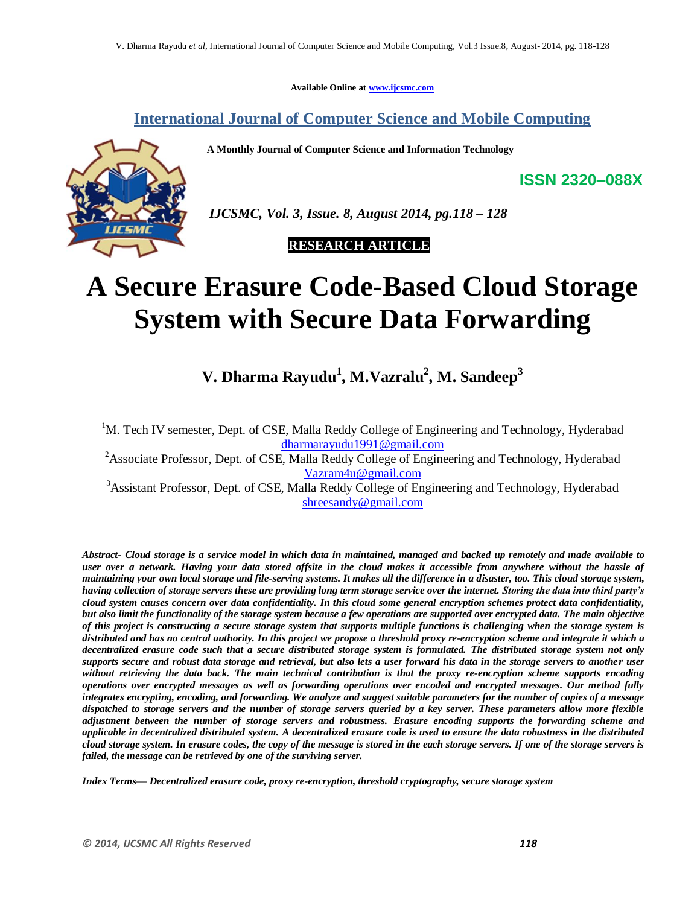**Available Online at [www.ijcsmc.com](http://www.ijcsmc.com/)**

**International Journal of Computer Science and Mobile Computing**

 **A Monthly Journal of Computer Science and Information Technology**

**ISSN 2320–088X**



 *IJCSMC, Vol. 3, Issue. 8, August 2014, pg.118 – 128*

 **RESEARCH ARTICLE**

# **A Secure Erasure Code-Based Cloud Storage System with Secure Data Forwarding**

**V. Dharma Rayudu<sup>1</sup> , M.Vazralu 2 , M. Sandeep<sup>3</sup>**

 ${}^{1}M$ . Tech IV semester, Dept. of CSE, Malla Reddy College of Engineering and Technology, Hyderabad [dharmarayudu1991@gmail.com](mailto:dharmarayudu1991@gmail.com)

<sup>2</sup> Associate Professor, Dept. of CSE, Malla Reddy College of Engineering and Technology, Hyderabad [Vazram4u@gmail.com](mailto:Vazram4u@gmail.com)

<sup>3</sup>Assistant Professor, Dept. of CSE, Malla Reddy College of Engineering and Technology, Hyderabad [shreesandy@gmail.com](mailto:shreesandy@gmail.com)

*Abstract- Cloud storage is a service model in which data in maintained, managed and backed up remotely and made available to user over a network. Having your data stored offsite in the cloud makes it accessible from anywhere without the hassle of maintaining your own local storage and file-serving systems. It makes all the difference in a disaster, too. This cloud storage system, having collection of storage servers these are providing long term storage service over the internet. Storing the data into third party's cloud system causes concern over data confidentiality. In this cloud some general encryption schemes protect data confidentiality, but also limit the functionality of the storage system because a few operations are supported over encrypted data. The main objective of this project is constructing a secure storage system that supports multiple functions is challenging when the storage system is distributed and has no central authority. In this project we propose a threshold proxy re-encryption scheme and integrate it which a decentralized erasure code such that a secure distributed storage system is formulated. The distributed storage system not only supports secure and robust data storage and retrieval, but also lets a user forward his data in the storage servers to another user without retrieving the data back. The main technical contribution is that the proxy re-encryption scheme supports encoding operations over encrypted messages as well as forwarding operations over encoded and encrypted messages. Our method fully integrates encrypting, encoding, and forwarding. We analyze and suggest suitable parameters for the number of copies of a message dispatched to storage servers and the number of storage servers queried by a key server. These parameters allow more flexible adjustment between the number of storage servers and robustness. Erasure encoding supports the forwarding scheme and applicable in decentralized distributed system. A decentralized erasure code is used to ensure the data robustness in the distributed cloud storage system. In erasure codes, the copy of the message is stored in the each storage servers. If one of the storage servers is failed, the message can be retrieved by one of the surviving server.*

*Index Terms— Decentralized erasure code, proxy re-encryption, threshold cryptography, secure storage system*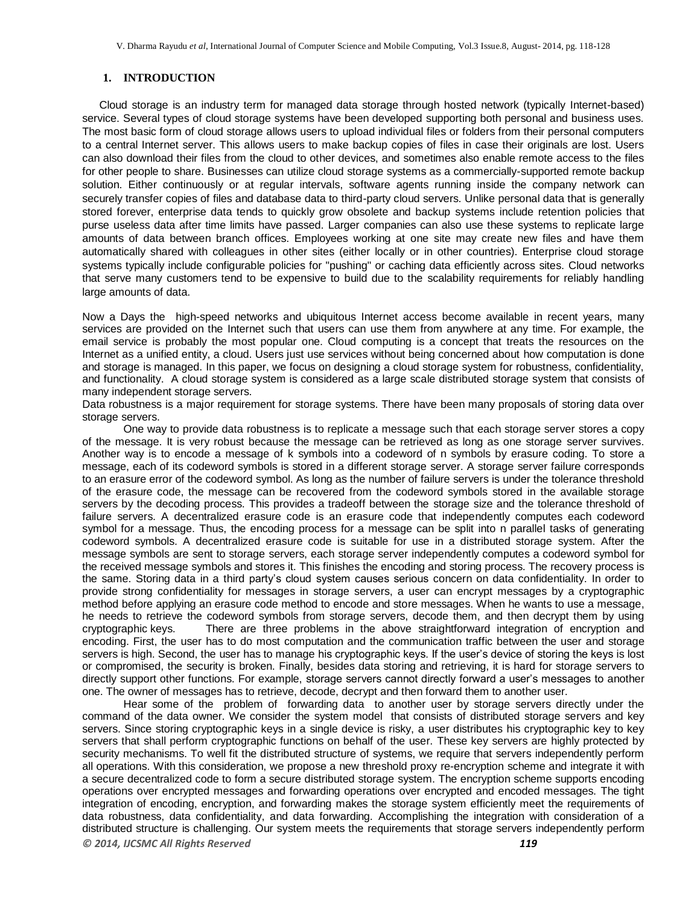## **1. INTRODUCTION**

Cloud storage is an industry term for managed data storage through hosted network (typically Internet-based) service. Several types of cloud storage systems have been developed supporting both personal and business uses. The most basic form of cloud storage allows users to upload individual files or folders from their personal computers to a central Internet server. This allows users to make backup copies of files in case their originals are lost. Users can also download their files from the cloud to other devices, and sometimes also enable remote access to the files for other people to share. Businesses can utilize cloud storage systems as a commercially-supported remote backup solution. Either continuously or at regular intervals, software agents running inside the company network can securely transfer copies of files and database data to third-party cloud servers. Unlike personal data that is generally stored forever, enterprise data tends to quickly grow obsolete and backup systems include retention policies that purse useless data after time limits have passed. Larger companies can also use these systems to replicate large amounts of data between branch offices. Employees working at one site may create new files and have them automatically shared with colleagues in other sites (either locally or in other countries). Enterprise cloud storage systems typically include configurable policies for "pushing" or caching data efficiently across sites. Cloud networks that serve many customers tend to be expensive to build due to the scalability requirements for reliably handling large amounts of data.

Now a Days the high-speed networks and ubiquitous Internet access become available in recent years, many services are provided on the Internet such that users can use them from anywhere at any time. For example, the email service is probably the most popular one. Cloud computing is a concept that treats the resources on the Internet as a unified entity, a cloud. Users just use services without being concerned about how computation is done and storage is managed. In this paper, we focus on designing a cloud storage system for robustness, confidentiality, and functionality. A cloud storage system is considered as a large scale distributed storage system that consists of many independent storage servers.

Data robustness is a major requirement for storage systems. There have been many proposals of storing data over storage servers.

One way to provide data robustness is to replicate a message such that each storage server stores a copy of the message. It is very robust because the message can be retrieved as long as one storage server survives. Another way is to encode a message of k symbols into a codeword of n symbols by erasure coding. To store a message, each of its codeword symbols is stored in a different storage server. A storage server failure corresponds to an erasure error of the codeword symbol. As long as the number of failure servers is under the tolerance threshold of the erasure code, the message can be recovered from the codeword symbols stored in the available storage servers by the decoding process. This provides a tradeoff between the storage size and the tolerance threshold of failure servers. A decentralized erasure code is an erasure code that independently computes each codeword symbol for a message. Thus, the encoding process for a message can be split into n parallel tasks of generating codeword symbols. A decentralized erasure code is suitable for use in a distributed storage system. After the message symbols are sent to storage servers, each storage server independently computes a codeword symbol for the received message symbols and stores it. This finishes the encoding and storing process. The recovery process is the same. Storing data in a third party's cloud system causes serious concern on data confidentiality. In order to provide strong confidentiality for messages in storage servers, a user can encrypt messages by a cryptographic method before applying an erasure code method to encode and store messages. When he wants to use a message, he needs to retrieve the codeword symbols from storage servers, decode them, and then decrypt them by using cryptographic keys. There are three problems in the above straightforward integration of encryption and encoding. First, the user has to do most computation and the communication traffic between the user and storage servers is high. Second, the user has to manage his cryptographic keys. If the user's device of storing the keys is lost or compromised, the security is broken. Finally, besides data storing and retrieving, it is hard for storage servers to directly support other functions. For example, storage servers cannot directly forward a user's messages to another one. The owner of messages has to retrieve, decode, decrypt and then forward them to another user.

*© 2014, IJCSMC All Rights Reserved 119* Hear some of the problem of forwarding data to another user by storage servers directly under the command of the data owner. We consider the system model that consists of distributed storage servers and key servers. Since storing cryptographic keys in a single device is risky, a user distributes his cryptographic key to key servers that shall perform cryptographic functions on behalf of the user. These key servers are highly protected by security mechanisms. To well fit the distributed structure of systems, we require that servers independently perform all operations. With this consideration, we propose a new threshold proxy re-encryption scheme and integrate it with a secure decentralized code to form a secure distributed storage system. The encryption scheme supports encoding operations over encrypted messages and forwarding operations over encrypted and encoded messages. The tight integration of encoding, encryption, and forwarding makes the storage system efficiently meet the requirements of data robustness, data confidentiality, and data forwarding. Accomplishing the integration with consideration of a distributed structure is challenging. Our system meets the requirements that storage servers independently perform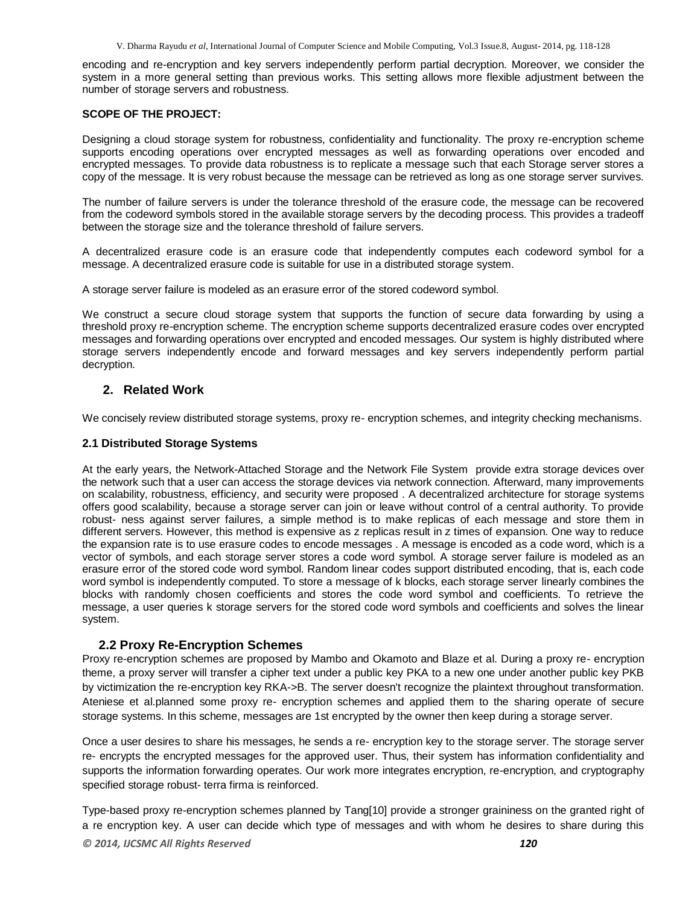encoding and re-encryption and key servers independently perform partial decryption. Moreover, we consider the system in a more general setting than previous works. This setting allows more flexible adjustment between the number of storage servers and robustness.

### **SCOPE OF THE PROJECT:**

Designing a cloud storage system for robustness, confidentiality and functionality. The proxy re-encryption scheme supports encoding operations over encrypted messages as well as forwarding operations over encoded and encrypted messages. To provide data robustness is to replicate a message such that each Storage server stores a copy of the message. It is very robust because the message can be retrieved as long as one storage server survives.

The number of failure servers is under the tolerance threshold of the erasure code, the message can be recovered from the codeword symbols stored in the available storage servers by the decoding process. This provides a tradeoff between the storage size and the tolerance threshold of failure servers.

A decentralized erasure code is an erasure code that independently computes each codeword symbol for a message. A decentralized erasure code is suitable for use in a distributed storage system.

A storage server failure is modeled as an erasure error of the stored codeword symbol.

We construct a secure cloud storage system that supports the function of secure data forwarding by using a threshold proxy re-encryption scheme. The encryption scheme supports decentralized erasure codes over encrypted messages and forwarding operations over encrypted and encoded messages. Our system is highly distributed where storage servers independently encode and forward messages and key servers independently perform partial decryption.

## **2. Related Work**

We concisely review distributed storage systems, proxy re-encryption schemes, and integrity checking mechanisms.

## **2.1 Distributed Storage Systems**

At the early years, the Network-Attached Storage and the Network File System provide extra storage devices over the network such that a user can access the storage devices via network connection. Afterward, many improvements on scalability, robustness, efficiency, and security were proposed . A decentralized architecture for storage systems offers good scalability, because a storage server can join or leave without control of a central authority. To provide robust- ness against server failures, a simple method is to make replicas of each message and store them in different servers. However, this method is expensive as z replicas result in z times of expansion. One way to reduce the expansion rate is to use erasure codes to encode messages . A message is encoded as a code word, which is a vector of symbols, and each storage server stores a code word symbol. A storage server failure is modeled as an erasure error of the stored code word symbol. Random linear codes support distributed encoding, that is, each code word symbol is independently computed. To store a message of k blocks, each storage server linearly combines the blocks with randomly chosen coefficients and stores the code word symbol and coefficients. To retrieve the message, a user queries k storage servers for the stored code word symbols and coefficients and solves the linear system.

## **2.2 Proxy Re-Encryption Schemes**

Proxy re-encryption schemes are proposed by Mambo and Okamoto and Blaze et al. During a proxy re- encryption theme, a proxy server will transfer a cipher text under a public key PKA to a new one under another public key PKB by victimization the re-encryption key RKA->B. The server doesn't recognize the plaintext throughout transformation. Ateniese et al.planned some proxy re- encryption schemes and applied them to the sharing operate of secure storage systems. In this scheme, messages are 1st encrypted by the owner then keep during a storage server.

Once a user desires to share his messages, he sends a re- encryption key to the storage server. The storage server re- encrypts the encrypted messages for the approved user. Thus, their system has information confidentiality and supports the information forwarding operates. Our work more integrates encryption, re-encryption, and cryptography specified storage robust- terra firma is reinforced.

Type-based proxy re-encryption schemes planned by Tang[10] provide a stronger graininess on the granted right of a re encryption key. A user can decide which type of messages and with whom he desires to share during this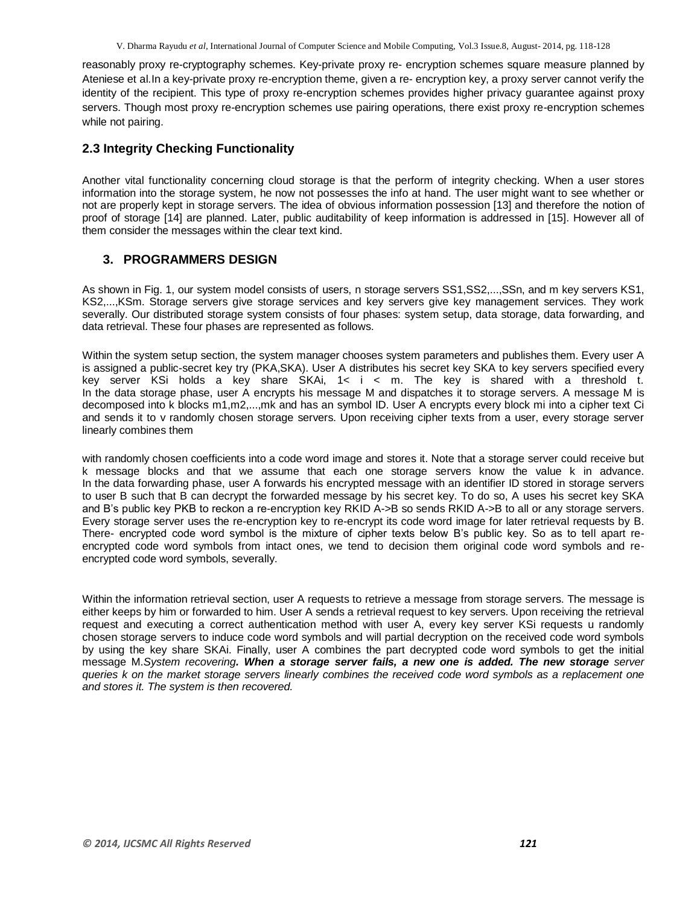reasonably proxy re-cryptography schemes. Key-private proxy re- encryption schemes square measure planned by Ateniese et al.In a key-private proxy re-encryption theme, given a re- encryption key, a proxy server cannot verify the identity of the recipient. This type of proxy re-encryption schemes provides higher privacy guarantee against proxy servers. Though most proxy re-encryption schemes use pairing operations, there exist proxy re-encryption schemes while not pairing.

## **2.3 Integrity Checking Functionality**

Another vital functionality concerning cloud storage is that the perform of integrity checking. When a user stores information into the storage system, he now not possesses the info at hand. The user might want to see whether or not are properly kept in storage servers. The idea of obvious information possession [13] and therefore the notion of proof of storage [14] are planned. Later, public auditability of keep information is addressed in [15]. However all of them consider the messages within the clear text kind.

## **3. PROGRAMMERS DESIGN**

As shown in Fig. 1, our system model consists of users, n storage servers SS1,SS2,...,SSn, and m key servers KS1, KS2,...,KSm. Storage servers give storage services and key servers give key management services. They work severally. Our distributed storage system consists of four phases: system setup, data storage, data forwarding, and data retrieval. These four phases are represented as follows.

Within the system setup section, the system manager chooses system parameters and publishes them. Every user A is assigned a public-secret key try (PKA,SKA). User A distributes his secret key SKA to key servers specified every key server KSi holds a key share SKAi, 1< i < m. The key is shared with a threshold t. In the data storage phase, user A encrypts his message M and dispatches it to storage servers. A message M is decomposed into k blocks m1,m2,...,mk and has an symbol ID. User A encrypts every block mi into a cipher text Ci and sends it to v randomly chosen storage servers. Upon receiving cipher texts from a user, every storage server linearly combines them

with randomly chosen coefficients into a code word image and stores it. Note that a storage server could receive but k message blocks and that we assume that each one storage servers know the value k in advance. In the data forwarding phase, user A forwards his encrypted message with an identifier ID stored in storage servers to user B such that B can decrypt the forwarded message by his secret key. To do so, A uses his secret key SKA and B's public key PKB to reckon a re-encryption key RKID A->B so sends RKID A->B to all or any storage servers. Every storage server uses the re-encryption key to re-encrypt its code word image for later retrieval requests by B. There- encrypted code word symbol is the mixture of cipher texts below B's public key. So as to tell apart reencrypted code word symbols from intact ones, we tend to decision them original code word symbols and reencrypted code word symbols, severally.

Within the information retrieval section, user A requests to retrieve a message from storage servers. The message is either keeps by him or forwarded to him. User A sends a retrieval request to key servers. Upon receiving the retrieval request and executing a correct authentication method with user A, every key server KSi requests u randomly chosen storage servers to induce code word symbols and will partial decryption on the received code word symbols by using the key share SKAi. Finally, user A combines the part decrypted code word symbols to get the initial message M.*System recovering. When a storage server fails, a new one is added. The new storage server queries k on the market storage servers linearly combines the received code word symbols as a replacement one and stores it. The system is then recovered.*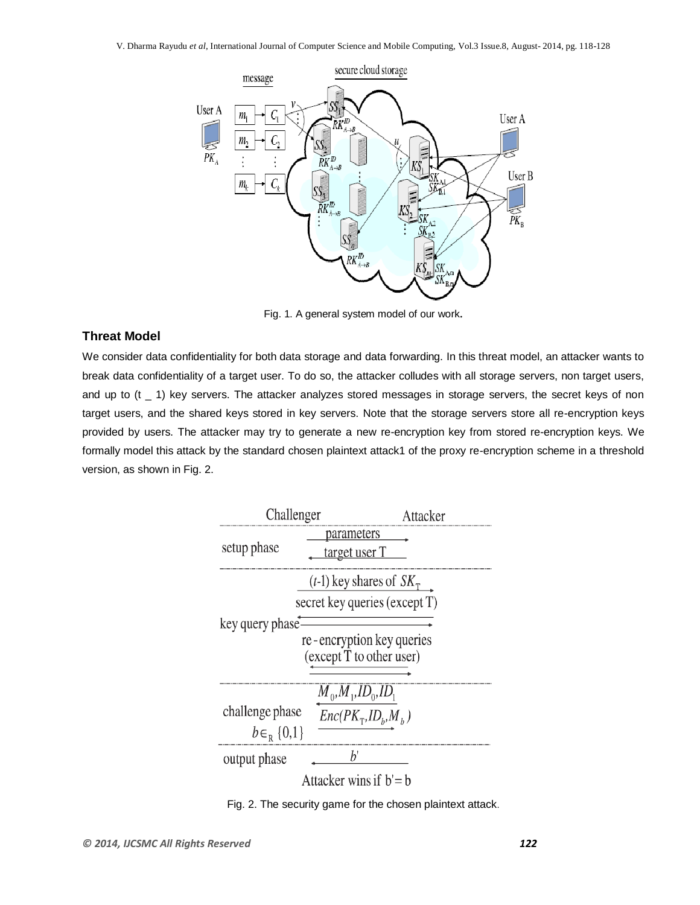

Fig. 1. A general system model of our work.

## **Threat Model**

We consider data confidentiality for both data storage and data forwarding. In this threat model, an attacker wants to break data confidentiality of a target user. To do so, the attacker colludes with all storage servers, non target users, and up to  $(t - 1)$  key servers. The attacker analyzes stored messages in storage servers, the secret keys of non target users, and the shared keys stored in key servers. Note that the storage servers store all re-encryption keys provided by users. The attacker may try to generate a new re-encryption key from stored re-encryption keys. We formally model this attack by the standard chosen plaintext attack1 of the proxy re-encryption scheme in a threshold version, as shown in Fig. 2.

| Challenger                                                                    | Attacker                                |  |  |                          |  |  |
|-------------------------------------------------------------------------------|-----------------------------------------|--|--|--------------------------|--|--|
|                                                                               | parameters                              |  |  |                          |  |  |
| setup phase                                                                   | target user T                           |  |  |                          |  |  |
|                                                                               | $(t-1)$ key shares of $SK_{\tau}$       |  |  |                          |  |  |
| secret key queries (except T)<br>key query phase<br>re-encryption key queries |                                         |  |  |                          |  |  |
|                                                                               |                                         |  |  | (except T to other user) |  |  |
|                                                                               |                                         |  |  |                          |  |  |
|                                                                               | $M_{0}$ , $M_{1}$ , $ID_{0}$ , $ID_{1}$ |  |  |                          |  |  |
| challenge phase                                                               | $Enc(PK_{\text{T}}, ID_{b}, M_{b})$     |  |  |                          |  |  |
| $b \in_R \{0,1\}$                                                             |                                         |  |  |                          |  |  |
| output phase                                                                  | h'                                      |  |  |                          |  |  |
| Attacker wins if $b' = b$                                                     |                                         |  |  |                          |  |  |

Fig. 2. The security game for the chosen plaintext attack.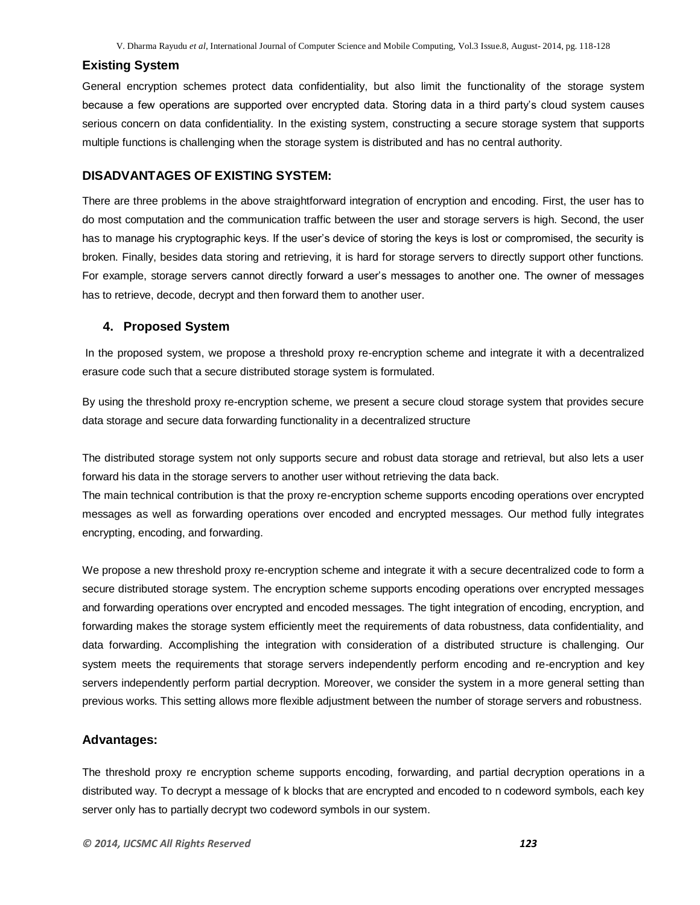#### **Existing System**

General encryption schemes protect data confidentiality, but also limit the functionality of the storage system because a few operations are supported over encrypted data. Storing data in a third party's cloud system causes serious concern on data confidentiality. In the existing system, constructing a secure storage system that supports multiple functions is challenging when the storage system is distributed and has no central authority.

## **DISADVANTAGES OF EXISTING SYSTEM:**

There are three problems in the above straightforward integration of encryption and encoding. First, the user has to do most computation and the communication traffic between the user and storage servers is high. Second, the user has to manage his cryptographic keys. If the user's device of storing the keys is lost or compromised, the security is broken. Finally, besides data storing and retrieving, it is hard for storage servers to directly support other functions. For example, storage servers cannot directly forward a user's messages to another one. The owner of messages has to retrieve, decode, decrypt and then forward them to another user.

## **4. Proposed System**

In the proposed system, we propose a threshold proxy re-encryption scheme and integrate it with a decentralized erasure code such that a secure distributed storage system is formulated.

By using the threshold proxy re-encryption scheme, we present a secure cloud storage system that provides secure data storage and secure data forwarding functionality in a decentralized structure

The distributed storage system not only supports secure and robust data storage and retrieval, but also lets a user forward his data in the storage servers to another user without retrieving the data back.

The main technical contribution is that the proxy re-encryption scheme supports encoding operations over encrypted messages as well as forwarding operations over encoded and encrypted messages. Our method fully integrates encrypting, encoding, and forwarding.

We propose a new threshold proxy re-encryption scheme and integrate it with a secure decentralized code to form a secure distributed storage system. The encryption scheme supports encoding operations over encrypted messages and forwarding operations over encrypted and encoded messages. The tight integration of encoding, encryption, and forwarding makes the storage system efficiently meet the requirements of data robustness, data confidentiality, and data forwarding. Accomplishing the integration with consideration of a distributed structure is challenging. Our system meets the requirements that storage servers independently perform encoding and re-encryption and key servers independently perform partial decryption. Moreover, we consider the system in a more general setting than previous works. This setting allows more flexible adjustment between the number of storage servers and robustness.

#### **Advantages:**

The threshold proxy re encryption scheme supports encoding, forwarding, and partial decryption operations in a distributed way. To decrypt a message of k blocks that are encrypted and encoded to n codeword symbols, each key server only has to partially decrypt two codeword symbols in our system.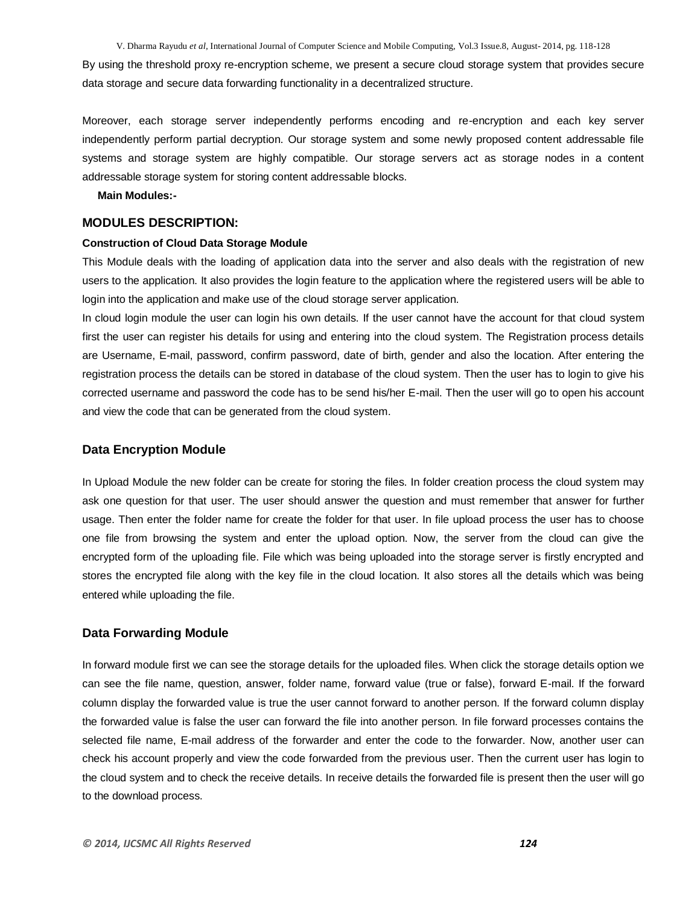V. Dharma Rayudu *et al*, International Journal of Computer Science and Mobile Computing, Vol.3 Issue.8, August- 2014, pg. 118-128

By using the threshold proxy re-encryption scheme, we present a secure cloud storage system that provides secure data storage and secure data forwarding functionality in a decentralized structure.

Moreover, each storage server independently performs encoding and re-encryption and each key server independently perform partial decryption. Our storage system and some newly proposed content addressable file systems and storage system are highly compatible. Our storage servers act as storage nodes in a content addressable storage system for storing content addressable blocks.

**Main Modules:-**

#### **MODULES DESCRIPTION:**

#### **Construction of Cloud Data Storage Module**

This Module deals with the loading of application data into the server and also deals with the registration of new users to the application. It also provides the login feature to the application where the registered users will be able to login into the application and make use of the cloud storage server application.

In cloud login module the user can login his own details. If the user cannot have the account for that cloud system first the user can register his details for using and entering into the cloud system. The Registration process details are Username, E-mail, password, confirm password, date of birth, gender and also the location. After entering the registration process the details can be stored in database of the cloud system. Then the user has to login to give his corrected username and password the code has to be send his/her E-mail. Then the user will go to open his account and view the code that can be generated from the cloud system.

#### **Data Encryption Module**

In Upload Module the new folder can be create for storing the files. In folder creation process the cloud system may ask one question for that user. The user should answer the question and must remember that answer for further usage. Then enter the folder name for create the folder for that user. In file upload process the user has to choose one file from browsing the system and enter the upload option. Now, the server from the cloud can give the encrypted form of the uploading file. File which was being uploaded into the storage server is firstly encrypted and stores the encrypted file along with the key file in the cloud location. It also stores all the details which was being entered while uploading the file.

#### **Data Forwarding Module**

In forward module first we can see the storage details for the uploaded files. When click the storage details option we can see the file name, question, answer, folder name, forward value (true or false), forward E-mail. If the forward column display the forwarded value is true the user cannot forward to another person. If the forward column display the forwarded value is false the user can forward the file into another person. In file forward processes contains the selected file name, E-mail address of the forwarder and enter the code to the forwarder. Now, another user can check his account properly and view the code forwarded from the previous user. Then the current user has login to the cloud system and to check the receive details. In receive details the forwarded file is present then the user will go to the download process.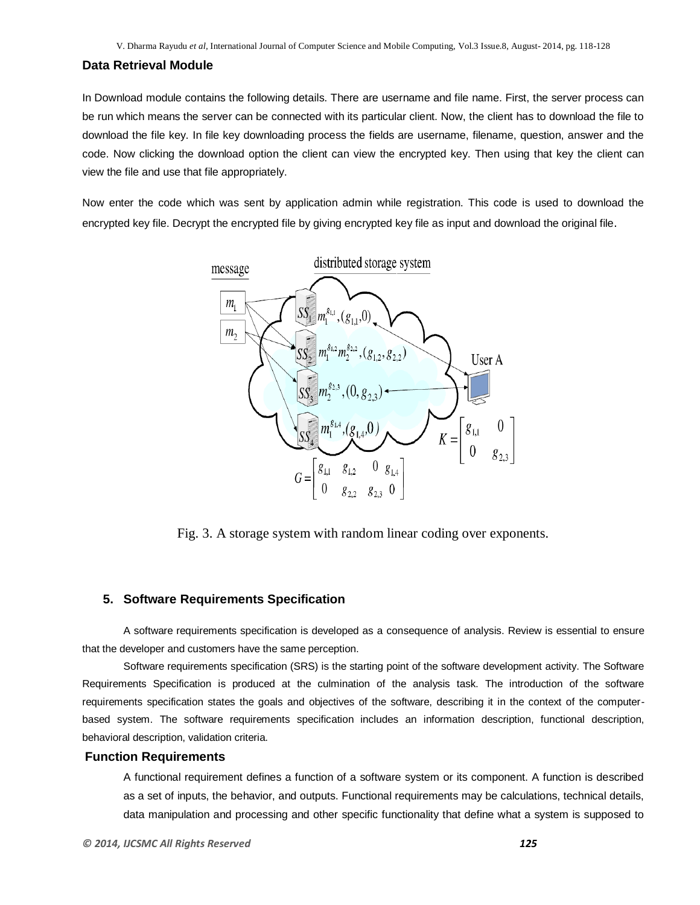#### **Data Retrieval Module**

In Download module contains the following details. There are username and file name. First, the server process can be run which means the server can be connected with its particular client. Now, the client has to download the file to download the file key. In file key downloading process the fields are username, filename, question, answer and the code. Now clicking the download option the client can view the encrypted key. Then using that key the client can view the file and use that file appropriately.

Now enter the code which was sent by application admin while registration. This code is used to download the encrypted key file. Decrypt the encrypted file by giving encrypted key file as input and download the original file.



Fig. 3. A storage system with random linear coding over exponents.

#### **5. Software Requirements Specification**

A software requirements specification is developed as a consequence of analysis. Review is essential to ensure that the developer and customers have the same perception.

Software requirements specification (SRS) is the starting point of the software development activity. The Software Requirements Specification is produced at the culmination of the analysis task. The introduction of the software requirements specification states the goals and objectives of the software, describing it in the context of the computerbased system. The software requirements specification includes an information description, functional description, behavioral description, validation criteria.

#### **Function Requirements**

A functional requirement defines a function of a software system or its component. A function is described as a set of inputs, the behavior, and outputs. Functional requirements may be calculations, technical details, data manipulation and processing and other specific functionality that define what a system is supposed to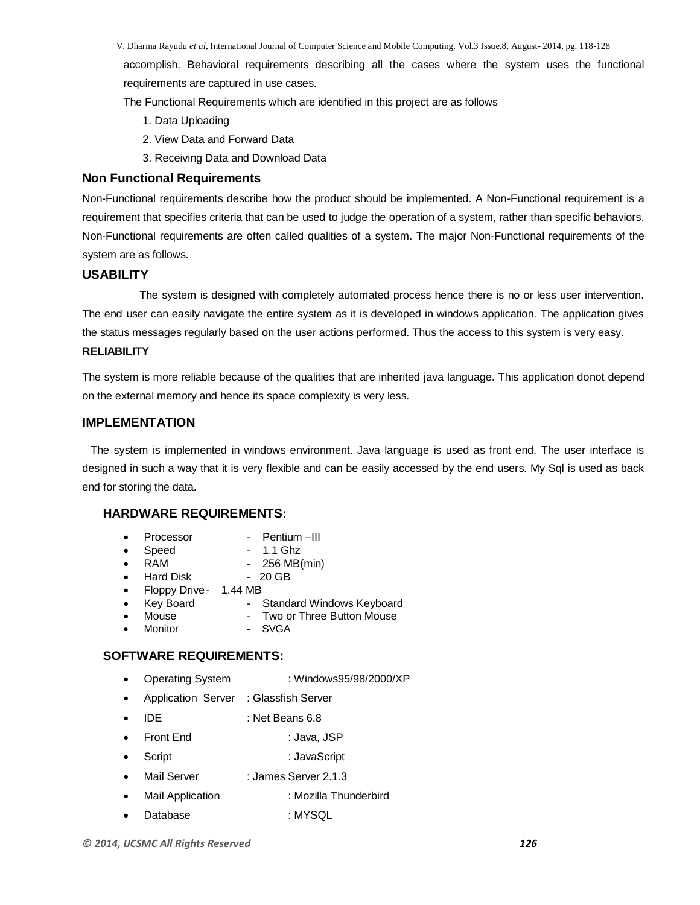V. Dharma Rayudu *et al*, International Journal of Computer Science and Mobile Computing, Vol.3 Issue.8, August- 2014, pg. 118-128

accomplish. Behavioral requirements describing all the cases where the system uses the functional requirements are captured in use cases.

The Functional Requirements which are identified in this project are as follows

- 1. Data Uploading
- 2. View Data and Forward Data
- 3. Receiving Data and Download Data

### **Non Functional Requirements**

Non-Functional requirements describe how the product should be implemented. A Non-Functional requirement is a requirement that specifies criteria that can be used to judge the operation of a system, rather than specific behaviors. Non-Functional requirements are often called qualities of a system. The major Non-Functional requirements of the system are as follows.

## **USABILITY**

The system is designed with completely automated process hence there is no or less user intervention. The end user can easily navigate the entire system as it is developed in windows application. The application gives the status messages regularly based on the user actions performed. Thus the access to this system is very easy.

## **RELIABILITY**

The system is more reliable because of the qualities that are inherited java language. This application donot depend on the external memory and hence its space complexity is very less.

## **IMPLEMENTATION**

 The system is implemented in windows environment. Java language is used as front end. The user interface is designed in such a way that it is very flexible and can be easily accessed by the end users. My Sql is used as back end for storing the data.

## **HARDWARE REQUIREMENTS:**

|           | Processor              | - Pentium -III              |
|-----------|------------------------|-----------------------------|
| $\bullet$ | Speed                  | - 1.1 Ghz                   |
| $\bullet$ | <b>RAM</b>             | $-256 \text{ MB}(min)$      |
| $\bullet$ | <b>Hard Disk</b>       | $-20$ GB                    |
| $\bullet$ | Floppy Drive - 1.44 MB |                             |
| $\bullet$ | <b>Key Board</b>       | Standard Windows Keyboard   |
| $\bullet$ | Mouse                  | - Two or Three Button Mouse |
|           | Monitor                | SVGA                        |
|           |                        |                             |

## **SOFTWARE REQUIREMENTS:**

- Operating System : Windows95/98/2000/XP
- Application Server : Glassfish Server
- IDE : Net Beans 6.8
- Front End : Java, JSP
- Script : JavaScript : JavaScript
- Mail Server : James Server 2.1.3
- Mail Application : Mozilla Thunderbird
- Database : MYSQL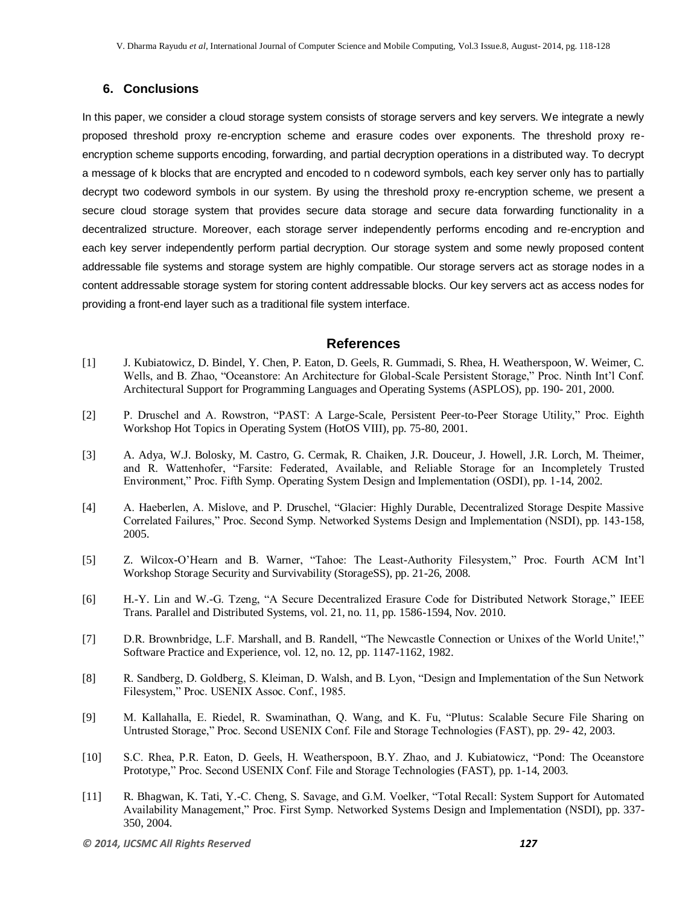# **6. Conclusions**

In this paper, we consider a cloud storage system consists of storage servers and key servers. We integrate a newly proposed threshold proxy re-encryption scheme and erasure codes over exponents. The threshold proxy reencryption scheme supports encoding, forwarding, and partial decryption operations in a distributed way. To decrypt a message of k blocks that are encrypted and encoded to n codeword symbols, each key server only has to partially decrypt two codeword symbols in our system. By using the threshold proxy re-encryption scheme, we present a secure cloud storage system that provides secure data storage and secure data forwarding functionality in a decentralized structure. Moreover, each storage server independently performs encoding and re-encryption and each key server independently perform partial decryption. Our storage system and some newly proposed content addressable file systems and storage system are highly compatible. Our storage servers act as storage nodes in a content addressable storage system for storing content addressable blocks. Our key servers act as access nodes for providing a front-end layer such as a traditional file system interface.

## **References**

- [1] J. Kubiatowicz, D. Bindel, Y. Chen, P. Eaton, D. Geels, R. Gummadi, S. Rhea, H. Weatherspoon, W. Weimer, C. Wells, and B. Zhao, "Oceanstore: An Architecture for Global-Scale Persistent Storage," Proc. Ninth Int'l Conf. Architectural Support for Programming Languages and Operating Systems (ASPLOS), pp. 190- 201, 2000.
- [2] P. Druschel and A. Rowstron, "PAST: A Large-Scale, Persistent Peer-to-Peer Storage Utility," Proc. Eighth Workshop Hot Topics in Operating System (HotOS VIII), pp. 75-80, 2001.
- [3] A. Adya, W.J. Bolosky, M. Castro, G. Cermak, R. Chaiken, J.R. Douceur, J. Howell, J.R. Lorch, M. Theimer, and R. Wattenhofer, "Farsite: Federated, Available, and Reliable Storage for an Incompletely Trusted Environment," Proc. Fifth Symp. Operating System Design and Implementation (OSDI), pp. 1-14, 2002.
- [4] A. Haeberlen, A. Mislove, and P. Druschel, "Glacier: Highly Durable, Decentralized Storage Despite Massive Correlated Failures," Proc. Second Symp. Networked Systems Design and Implementation (NSDI), pp. 143-158, 2005.
- [5] Z. Wilcox-O'Hearn and B. Warner, "Tahoe: The Least-Authority Filesystem," Proc. Fourth ACM Int'l Workshop Storage Security and Survivability (StorageSS), pp. 21-26, 2008.
- [6] H.-Y. Lin and W.-G. Tzeng, "A Secure Decentralized Erasure Code for Distributed Network Storage," IEEE Trans. Parallel and Distributed Systems, vol. 21, no. 11, pp. 1586-1594, Nov. 2010.
- [7] D.R. Brownbridge, L.F. Marshall, and B. Randell, "The Newcastle Connection or Unixes of the World Unite!," Software Practice and Experience, vol. 12, no. 12, pp. 1147-1162, 1982.
- [8] R. Sandberg, D. Goldberg, S. Kleiman, D. Walsh, and B. Lyon, "Design and Implementation of the Sun Network Filesystem," Proc. USENIX Assoc. Conf., 1985.
- [9] M. Kallahalla, E. Riedel, R. Swaminathan, Q. Wang, and K. Fu, "Plutus: Scalable Secure File Sharing on Untrusted Storage," Proc. Second USENIX Conf. File and Storage Technologies (FAST), pp. 29- 42, 2003.
- [10] S.C. Rhea, P.R. Eaton, D. Geels, H. Weatherspoon, B.Y. Zhao, and J. Kubiatowicz, "Pond: The Oceanstore Prototype," Proc. Second USENIX Conf. File and Storage Technologies (FAST), pp. 1-14, 2003.
- [11] R. Bhagwan, K. Tati, Y.-C. Cheng, S. Savage, and G.M. Voelker, "Total Recall: System Support for Automated Availability Management," Proc. First Symp. Networked Systems Design and Implementation (NSDI), pp. 337- 350, 2004.